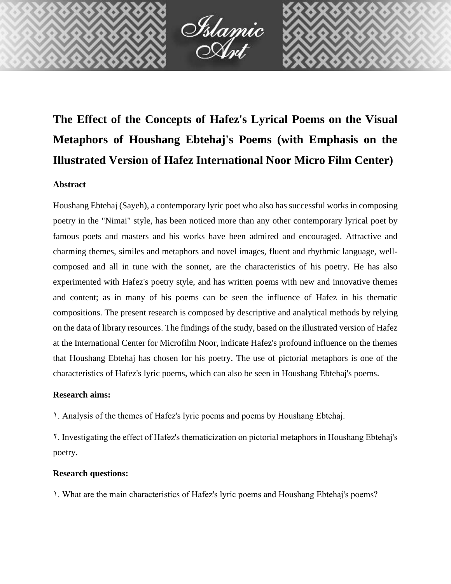

# **The Effect of the Concepts of Hafez's Lyrical Poems on the Visual Metaphors of Houshang Ebtehaj's Poems (with Emphasis on the Illustrated Version of Hafez International Noor Micro Film Center)**

## **Abstract**

Houshang Ebtehaj (Sayeh), a contemporary lyric poet who also has successful works in composing poetry in the "Nimai" style, has been noticed more than any other contemporary lyrical poet by famous poets and masters and his works have been admired and encouraged. Attractive and charming themes, similes and metaphors and novel images, fluent and rhythmic language, wellcomposed and all in tune with the sonnet, are the characteristics of his poetry. He has also experimented with Hafez's poetry style, and has written poems with new and innovative themes and content; as in many of his poems can be seen the influence of Hafez in his thematic compositions. The present research is composed by descriptive and analytical methods by relying on the data of library resources. The findings of the study, based on the illustrated version of Hafez at the International Center for Microfilm Noor, indicate Hafez's profound influence on the themes that Houshang Ebtehaj has chosen for his poetry. The use of pictorial metaphors is one of the characteristics of Hafez's lyric poems, which can also be seen in Houshang Ebtehaj's poems.

## **Research aims:**

1. Analysis of the themes of Hafez's lyric poems and poems by Houshang Ebtehaj.

2. Investigating the effect of Hafez's thematicization on pictorial metaphors in Houshang Ebtehaj's poetry.

## **Research questions:**

1. What are the main characteristics of Hafez's lyric poems and Houshang Ebtehaj's poems?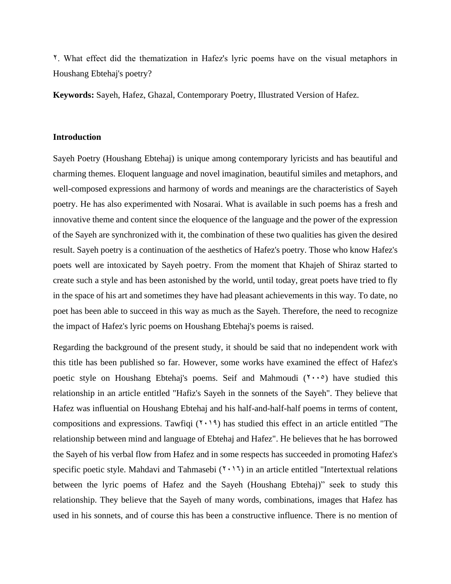2. What effect did the thematization in Hafez's lyric poems have on the visual metaphors in Houshang Ebtehaj's poetry?

**Keywords:** Sayeh, Hafez, Ghazal, Contemporary Poetry, Illustrated Version of Hafez.

#### **Introduction**

Sayeh Poetry (Houshang Ebtehaj) is unique among contemporary lyricists and has beautiful and charming themes. Eloquent language and novel imagination, beautiful similes and metaphors, and well-composed expressions and harmony of words and meanings are the characteristics of Sayeh poetry. He has also experimented with Nosarai. What is available in such poems has a fresh and innovative theme and content since the eloquence of the language and the power of the expression of the Sayeh are synchronized with it, the combination of these two qualities has given the desired result. Sayeh poetry is a continuation of the aesthetics of Hafez's poetry. Those who know Hafez's poets well are intoxicated by Sayeh poetry. From the moment that Khajeh of Shiraz started to create such a style and has been astonished by the world, until today, great poets have tried to fly in the space of his art and sometimes they have had pleasant achievements in this way. To date, no poet has been able to succeed in this way as much as the Sayeh. Therefore, the need to recognize the impact of Hafez's lyric poems on Houshang Ebtehaj's poems is raised.

Regarding the background of the present study, it should be said that no independent work with this title has been published so far. However, some works have examined the effect of Hafez's poetic style on Houshang Ebtehaj's poems. Seif and Mahmoudi  $(1 \cdot \cdot \cdot)$  have studied this relationship in an article entitled "Hafiz's Sayeh in the sonnets of the Sayeh". They believe that Hafez was influential on Houshang Ebtehaj and his half-and-half-half poems in terms of content, compositions and expressions. Tawfiqi  $(1, 1)$  has studied this effect in an article entitled "The relationship between mind and language of Ebtehaj and Hafez". He believes that he has borrowed the Sayeh of his verbal flow from Hafez and in some respects has succeeded in promoting Hafez's specific poetic style. Mahdavi and Tahmasebi  $(1 \cdot 1)$  in an article entitled "Intertextual relations" between the lyric poems of Hafez and the Sayeh (Houshang Ebtehaj)" seek to study this relationship. They believe that the Sayeh of many words, combinations, images that Hafez has used in his sonnets, and of course this has been a constructive influence. There is no mention of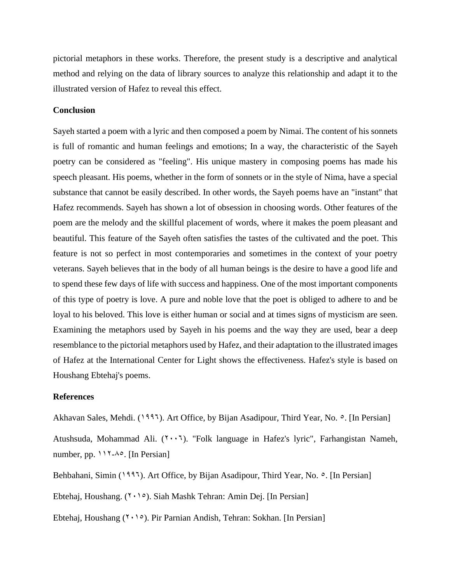pictorial metaphors in these works. Therefore, the present study is a descriptive and analytical method and relying on the data of library sources to analyze this relationship and adapt it to the illustrated version of Hafez to reveal this effect.

#### **Conclusion**

Sayeh started a poem with a lyric and then composed a poem by Nimai. The content of his sonnets is full of romantic and human feelings and emotions; In a way, the characteristic of the Sayeh poetry can be considered as "feeling". His unique mastery in composing poems has made his speech pleasant. His poems, whether in the form of sonnets or in the style of Nima, have a special substance that cannot be easily described. In other words, the Sayeh poems have an "instant" that Hafez recommends. Sayeh has shown a lot of obsession in choosing words. Other features of the poem are the melody and the skillful placement of words, where it makes the poem pleasant and beautiful. This feature of the Sayeh often satisfies the tastes of the cultivated and the poet. This feature is not so perfect in most contemporaries and sometimes in the context of your poetry veterans. Sayeh believes that in the body of all human beings is the desire to have a good life and to spend these few days of life with success and happiness. One of the most important components of this type of poetry is love. A pure and noble love that the poet is obliged to adhere to and be loyal to his beloved. This love is either human or social and at times signs of mysticism are seen. Examining the metaphors used by Sayeh in his poems and the way they are used, bear a deep resemblance to the pictorial metaphors used by Hafez, and their adaptation to the illustrated images of Hafez at the International Center for Light shows the effectiveness. Hafez's style is based on Houshang Ebtehaj's poems.

#### **References**

Akhavan Sales, Mehdi. (1997). Art Office, by Bijan Asadipour, Third Year, No.  $\circ$ . [In Persian]

Atushsuda, Mohammad Ali.  $(2\cdot \cdot 7)$ . "Folk language in Hafez's lyric", Farhangistan Nameh, number, pp.  $117-\lambda^{\circ}$ . [In Persian]

Behbahani, Simin (1995). Art Office, by Bijan Asadipour, Third Year, No.  $\circ$ . [In Persian]

Ebtehaj, Houshang. (7, 10). Siah Mashk Tehran: Amin Dej. [In Persian]

Ebtehaj, Houshang ( $\langle \cdot \rangle$ ). Pir Parnian Andish, Tehran: Sokhan. [In Persian]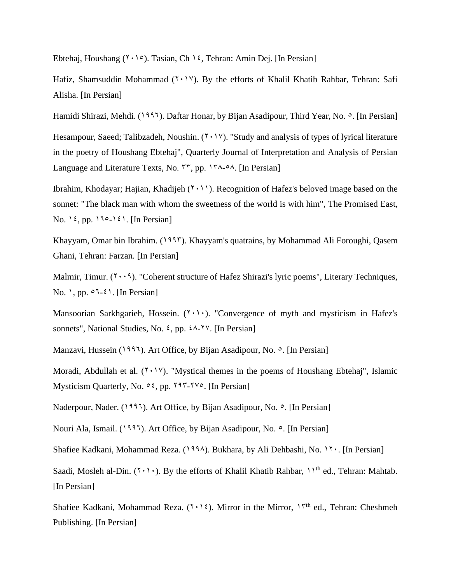Ebtehaj, Houshang ( $\gamma \cdot \rho$ ). Tasian, Ch 1<sup>2</sup>, Tehran: Amin Dej. [In Persian]

Hafiz, Shamsuddin Mohammad (Y . 1V). By the efforts of Khalil Khatib Rahbar, Tehran: Safi Alisha. [In Persian]

Hamidi Shirazi, Mehdi. (1997). Daftar Honar, by Bijan Asadipour, Third Year, No.  $\circ$ . [In Persian]

Hesampour, Saeed; Talibzadeh, Noushin.  $(Y \cdot Y)$ . "Study and analysis of types of lyrical literature in the poetry of Houshang Ebtehaj", Quarterly Journal of Interpretation and Analysis of Persian Language and Literature Texts, No. ٣٣, pp. ١٣٨-٥٨. [In Persian]

Ibrahim, Khodayar; Hajian, Khadijeh (7,11). Recognition of Hafez's beloved image based on the sonnet: "The black man with whom the sweetness of the world is with him", The Promised East, No. 12, pp.  $110-121$ . [In Persian]

Khayyam, Omar bin Ibrahim. (1993). Khayyam's quatrains, by Mohammad Ali Foroughi, Qasem Ghani, Tehran: Farzan. [In Persian]

Malmir, Timur.  $(1 \cdot 1)$ . "Coherent structure of Hafez Shirazi's lyric poems", Literary Techniques, No. 1, pp.  $\circ 1-\epsilon$ 1. [In Persian]

Mansoorian Sarkhgarieh, Hossein.  $(7 \cdot 1)$ . "Convergence of myth and mysticism in Hafez's sonnets", National Studies, No.  $\epsilon$ , pp.  $\epsilon \lambda$ -YV. [In Persian]

Manzavi, Hussein (1995). Art Office, by Bijan Asadipour, No.  $\circ$ . [In Persian]

Moradi, Abdullah et al.  $(1 \cdot 1)$ . "Mystical themes in the poems of Houshang Ebtehaj", Islamic Mysticism Quarterly, No.  $0.5$ , pp.  $197-175$ . [In Persian]

Naderpour, Nader. (1995). Art Office, by Bijan Asadipour, No.  $\circ$ . [In Persian]

Nouri Ala, Ismail. (1995). Art Office, by Bijan Asadipour, No.  $\circ$ . [In Persian]

Shafiee Kadkani, Mohammad Reza. (1994). Bukhara, by Ali Dehbashi, No. 11. [In Persian]

Saadi, Mosleh al-Din. ( $\forall \cdot \rangle$ ). By the efforts of Khalil Khatib Rahbar,  $\gamma$ <sup>th</sup> ed., Tehran: Mahtab. [In Persian]

Shafiee Kadkani, Mohammad Reza.  $(1 \cdot 12)$ . Mirror in the Mirror,  $17<sup>th</sup>$  ed., Tehran: Cheshmeh Publishing. [In Persian]